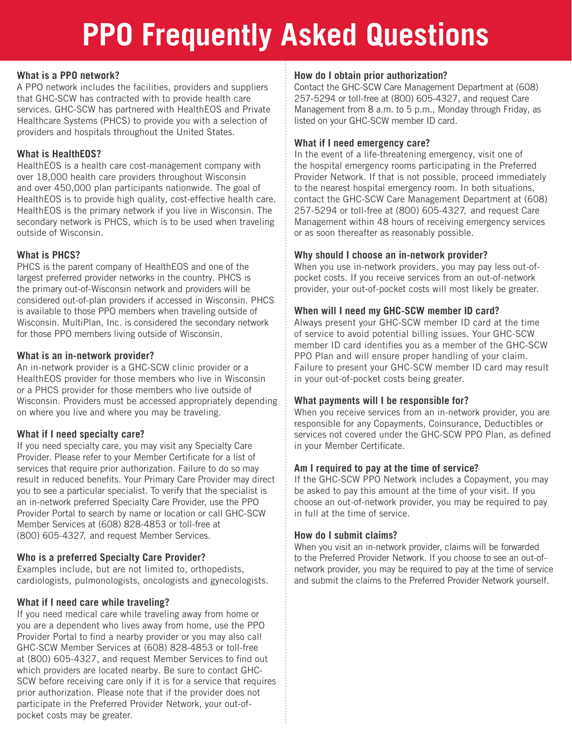## **PPO Frequently Asked Questions**

#### **What is a PPO network?**

A PPO network includes the facilities, providers and suppliers that GHC-SCW has contracted with to provide health care services. GHC-SCW has partnered with HealthEOS and Private Healthcare Systems (PHCS) to provide you with a selection of providers and hospitals throughout the United States.

#### **What is HealthEOS?**

HealthEOS is a health care cost-management company with over 18,000 health care providers throughout Wisconsin and over 450,000 plan participants nationwide. The goal of HealthEOS is to provide high quality, cost-effective health care. HealthEOS is the primary network if you live in Wisconsin. The secondary network is PHCS, which is to be used when traveling outside of Wisconsin.

#### **What is PHCS?**

PHCS is the parent company of HealthEOS and one of the largest preferred provider networks in the country. PHCS is the primary out-of-Wisconsin network and providers will be considered out-of-plan providers if accessed in Wisconsin. PHCS is available to those PPO members when traveling outside of Wisconsin. MultiPlan, Inc. is considered the secondary network for those PPO members living outside of Wisconsin.

#### **What is an in-network provider?**

An in-network provider is a GHC-SCW clinic provider or a HealthEOS provider for those members who live in Wisconsin or a PHCS provider for those members who live outside of Wisconsin. Providers must be accessed appropriately depending on where you live and where you may be traveling.

#### **What if I need specialty care?**

If you need specialty care, you may visit any Specialty Care Provider. Please refer to your Member Certificate for a list of services that require prior authorization. Failure to do so may result in reduced benefits. Your Primary Care Provider may direct you to see a particular specialist. To verify that the specialist is an in-network preferred Specialty Care Provider, use the PPO Provider Portal to search by name or location or call GHC-SCW Member Services at (608) 828-4853 or toll-free at (800) 605-4327, and request Member Services.

#### **Who is a preferred Specialty Care Provider?**

Examples include, but are not limited to, orthopedists, cardiologists, pulmonologists, oncologists and gynecologists.

#### **What if I need care while traveling?**

If you need medical care while traveling away from home or you are a dependent who lives away from home, use the PPO Provider Portal to find a nearby provider or you may also call GHC-SCW Member Services at (608) 828-4853 or toll-free at (800) 605-4327, and request Member Services to find out which providers are located nearby. Be sure to contact GHC-SCW before receiving care only if it is for a service that requires prior authorization. Please note that if the provider does not participate in the Preferred Provider Network, your out-ofpocket costs may be greater.

#### **How do I obtain prior authorization?**

Contact the GHC-SCW Care Management Department at (608) 257-5294 or toll-free at (800) 605-4327, and request Care Management from 8 a.m. to 5 p.m., Monday through Friday, as listed on your GHC-SCW member ID card.

#### **What if I need emergency care?**

In the event of a life-threatening emergency, visit one of the hospital emergency rooms participating in the Preferred Provider Network. If that is not possible, proceed immediately to the nearest hospital emergency room. In both situations, contact the GHC-SCW Care Management Department at (608) 257-5294 or toll-free at (800) 605-4327, and request Care Management within 48 hours of receiving emergency services or as soon thereafter as reasonably possible.

#### **Why should I choose an in-network provider?**

When you use in-network providers, you may pay less out-ofpocket costs. If you receive services from an out-of-network provider, your out-of-pocket costs will most likely be greater.

#### **When will I need my GHC-SCW member ID card?**

Always present your GHC-SCW member ID card at the time of service to avoid potential billing issues. Your GHC-SCW member ID card identifies you as a member of the GHC-SCW PPO Plan and will ensure proper handling of your claim. Failure to present your GHC-SCW member ID card may result in your out-of-pocket costs being greater.

#### **What payments will I be responsible for?**

When you receive services from an in-network provider, you are responsible for any Copayments, Coinsurance, Deductibles or services not covered under the GHC-SCW PPO Plan, as defined in your Member Certificate.

#### **Am I required to pay at the time of service?**

If the GHC-SCW PPO Network includes a Copayment, you may be asked to pay this amount at the time of your visit. If you choose an out-of-network provider, you may be required to pay in full at the time of service.

#### **How do I submit claims?**

When you visit an in-network provider, claims will be forwarded to the Preferred Provider Network. If you choose to see an out-ofnetwork provider, you may be required to pay at the time of service and submit the claims to the Preferred Provider Network yourself.